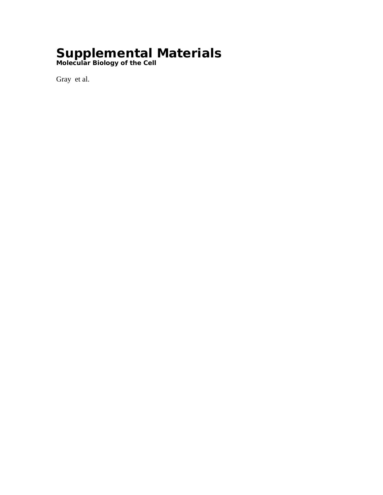## **Supplemental Materials**

*Molecular Biology of the Cell*

Gray et al.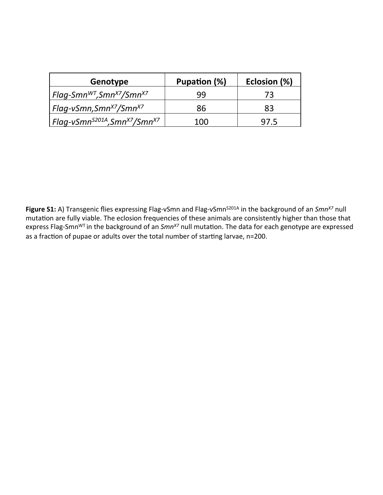| Genotype                                                         | Pupation (%) | Eclosion (%) |
|------------------------------------------------------------------|--------------|--------------|
| Flag-Smn <sup>wt</sup> ,Smn <sup>x7</sup> /Smn <sup>x7</sup>     | 99           | 73           |
| Flag-vSmn, Smn <sup>x7</sup> /Smn <sup>x7</sup>                  | 86           | 83           |
| Flaq-vSmn <sup>s201A</sup> ,Smn <sup>x7</sup> /Smn <sup>x7</sup> | 100          | 97.5         |

**Figure S1:** A) Transgenic flies expressing Flag-vSmn and Flag-vSmn<sup>S201A</sup> in the background of an *Smn<sup>x7</sup>* null mutation are fully viable. The eclosion frequencies of these animals are consistently higher than those that express Flag-Smn<sup>WT</sup> in the background of an *Smn<sup>x7</sup>* null mutation. The data for each genotype are expressed as a fraction of pupae or adults over the total number of starting larvae, n=200.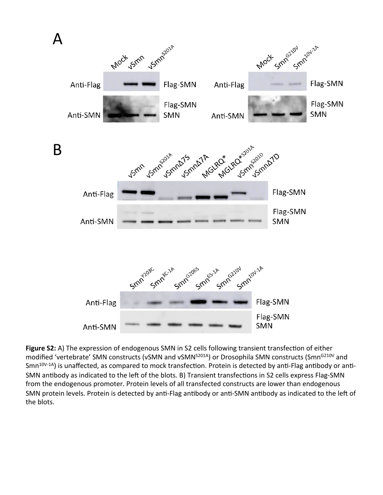

**Figure S2:** A) The expression of endogenous SMN in S2 cells following transient transfection of either modified 'vertebrate' SMN constructs (vSMN and vSMN<sup>S201A</sup>) or Drosophila SMN constructs (Smn<sup>G210V</sup> and Smn<sup>10V-1A</sup>) is unaffected, as compared to mock transfection. Protein is detected by anti-Flag antibody or anti-SMN antibody as indicated to the left of the blots. B) Transient transfections in S2 cells express Flag-SMN from the endogenous promoter. Protein levels of all transfected constructs are lower than endogenous SMN protein levels. Protein is detected by anti-Flag antibody or anti-SMN antibody as indicated to the left of the blots.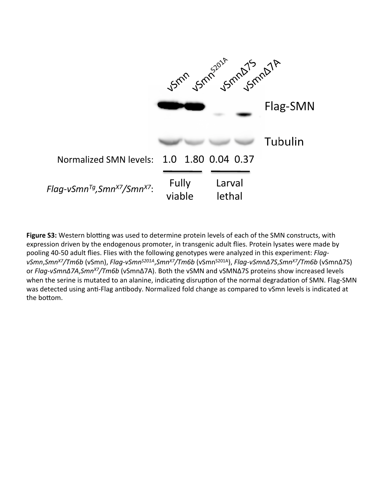

**Figure S3:** Western blotting was used to determine protein levels of each of the SMN constructs, with expression driven by the endogenous promoter, in transgenic adult flies. Protein lysates were made by pooling 40-50 adult flies. Flies with the following genotypes were analyzed in this experiment: *Flag* $vSmn,$ *Smn<sup>x7</sup>/Tm6b* (vSmn), *Flag-vSmn<sup>S201A</sup>,Smn<sup>x7</sup>/Tm6b* (vSmn<sup>S201A</sup>), *Flag-vSmn∆7S,Smn<sup>x7</sup>/Tm6b* (vSmn∆7S) or *Flag-vSmnΔ7A,Smn<sup>x7</sup>/Tm6b* (vSmnΔ7A). Both the vSMN and vSMNΔ7S proteins show increased levels when the serine is mutated to an alanine, indicating disruption of the normal degradation of SMN. Flag-SMN was detected using anti-Flag antibody. Normalized fold change as compared to vSmn levels is indicated at the bottom.